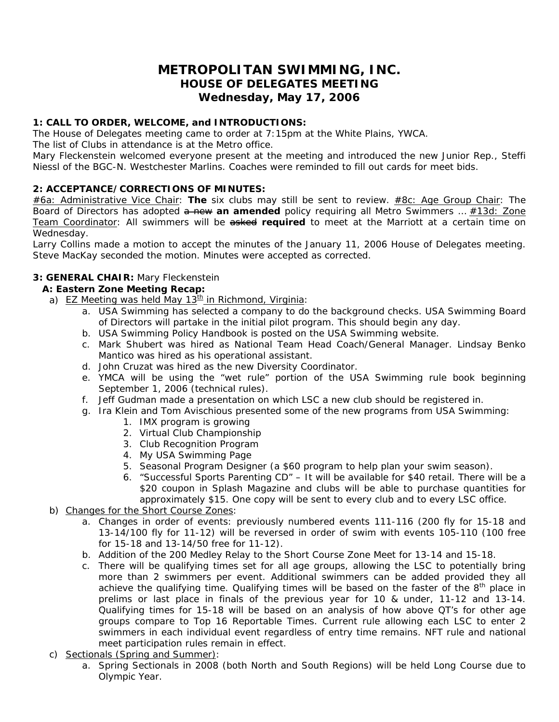# **METROPOLITAN SWIMMING, INC. HOUSE OF DELEGATES MEETING Wednesday, May 17, 2006**

# **1: CALL TO ORDER, WELCOME, and INTRODUCTIONS:**

The House of Delegates meeting came to order at 7:15pm at the White Plains, YWCA.

The list of Clubs in attendance is at the Metro office.

Mary Fleckenstein welcomed everyone present at the meeting and introduced the new Junior Rep., Steffi Niessl of the BGC-N. Westchester Marlins. Coaches were reminded to fill out cards for meet bids.

# **2: ACCEPTANCE/CORRECTIONS OF MINUTES:**

*#6a: Administrative Vice Chair*: **The** six clubs may still be sent to review. *#8c: Age Group Chair*: The Board of Directors has adopted  $\theta$  new an amended policy requiring all Metro Swimmers ... #13d: Zone *Team Coordinator*: All swimmers will be asked **required** to meet at the Marriott at a certain time on Wednesday.

Larry Collins made a motion to accept the minutes of the January 11, 2006 House of Delegates meeting. Steve MacKay seconded the motion. Minutes were accepted as corrected.

# **3: GENERAL CHAIR:** Mary Fleckenstein

# *A: Eastern Zone Meeting Recap:*

- a) EZ Meeting was held May  $13<sup>th</sup>$  in Richmond, Virginia:
	- a. USA Swimming has selected a company to do the background checks. USA Swimming Board of Directors will partake in the initial pilot program. This should begin any day.
	- b. USA Swimming Policy Handbook is posted on the USA Swimming website.
	- c. Mark Shubert was hired as National Team Head Coach/General Manager. Lindsay Benko Mantico was hired as his operational assistant.
	- d. John Cruzat was hired as the new Diversity Coordinator.
	- e. YMCA will be using the "wet rule" portion of the USA Swimming rule book beginning September 1, 2006 (technical rules).
	- f. Jeff Gudman made a presentation on which LSC a new club should be registered in.
	- g. Ira Klein and Tom Avischious presented some of the new programs from USA Swimming:
		- 1. IMX program is growing
		- 2. Virtual Club Championship
		- 3. Club Recognition Program
		- 4. My USA Swimming Page
		- 5. Seasonal Program Designer (a \$60 program to help plan your swim season).
		- 6. "Successful Sports Parenting CD" It will be available for \$40 retail. There will be a \$20 coupon in Splash Magazine and clubs will be able to purchase quantities for approximately \$15. One copy will be sent to every club and to every LSC office.
- b) Changes for the Short Course Zones:
	- a. Changes in order of events: previously numbered events 111-116 (200 fly for 15-18 and 13-14/100 fly for 11-12) will be reversed in order of swim with events 105-110 (100 free for 15-18 and 13-14/50 free for 11-12).
	- b. Addition of the 200 Medley Relay to the Short Course Zone Meet for 13-14 and 15-18.
	- c. There will be qualifying times set for all age groups, allowing the LSC to potentially bring more than 2 swimmers per event. Additional swimmers can be added provided they all achieve the qualifying time. Qualifying times will be based on the faster of the  $8<sup>th</sup>$  place in prelims or last place in finals of the previous year for 10 & under, 11-12 and 13-14. Qualifying times for 15-18 will be based on an analysis of how above QT's for other age groups compare to Top 16 Reportable Times. Current rule allowing each LSC to enter 2 swimmers in each individual event regardless of entry time remains. NFT rule and national meet participation rules remain in effect.
- c) Sectionals (Spring and Summer):
	- a. Spring Sectionals in 2008 (both North and South Regions) will be held Long Course due to Olympic Year.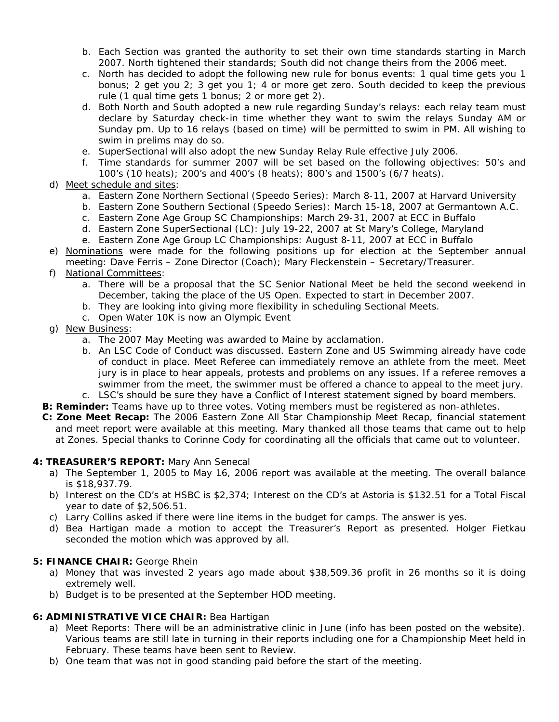- b. Each Section was granted the authority to set their own time standards starting in March 2007. North tightened their standards; South did not change theirs from the 2006 meet.
- c. North has decided to adopt the following new rule for bonus events: 1 qual time gets you 1 bonus; 2 get you 2; 3 get you 1; 4 or more get zero. South decided to keep the previous rule (1 qual time gets 1 bonus; 2 or more get 2).
- d. Both North and South adopted a new rule regarding Sunday's relays: each relay team must declare by Saturday check-in time whether they want to swim the relays Sunday AM or Sunday pm. Up to 16 relays (based on time) will be permitted to swim in PM. All wishing to swim in prelims may do so.
- e. SuperSectional will also adopt the new Sunday Relay Rule effective July 2006.
- f. Time standards for summer 2007 will be set based on the following objectives: 50's and 100's (10 heats); 200's and 400's (8 heats); 800's and 1500's (6/7 heats).
- d) Meet schedule and sites:
	- a. Eastern Zone Northern Sectional (Speedo Series): March 8-11, 2007 at Harvard University
	- b. Eastern Zone Southern Sectional (Speedo Series): March 15-18, 2007 at Germantown A.C.
	- c. Eastern Zone Age Group SC Championships: March 29-31, 2007 at ECC in Buffalo
	- d. Eastern Zone SuperSectional (LC): July 19-22, 2007 at St Mary's College, Maryland
	- e. Eastern Zone Age Group LC Championships: August 8-11, 2007 at ECC in Buffalo
- e) Nominations were made for the following positions up for election at the September annual meeting: Dave Ferris – Zone Director (Coach); Mary Fleckenstein – Secretary/Treasurer.

#### f) National Committees:

- a. There will be a proposal that the SC Senior National Meet be held the second weekend in December, taking the place of the US Open. Expected to start in December 2007.
- b. They are looking into giving more flexibility in scheduling Sectional Meets.
- c. Open Water 10K is now an Olympic Event
- g) New Business:
	- a. The 2007 May Meeting was awarded to Maine by acclamation.
	- b. An LSC Code of Conduct was discussed. Eastern Zone and US Swimming already have code of conduct in place. Meet Referee can immediately remove an athlete from the meet. Meet jury is in place to hear appeals, protests and problems on any issues. If a referee removes a swimmer from the meet, the swimmer must be offered a chance to appeal to the meet jury. c. LSC's should be sure they have a Conflict of Interest statement signed by board members.
- **B: Reminder:** Teams have up to three votes. Voting members must be registered as non-athletes.
- *C: Zone Meet Recap:* The 2006 Eastern Zone All Star Championship Meet Recap, financial statement and meet report were available at this meeting. Mary thanked all those teams that came out to help at Zones. Special thanks to Corinne Cody for coordinating all the officials that came out to volunteer.

#### **4: TREASURER'S REPORT:** Mary Ann Senecal

- a) The September 1, 2005 to May 16, 2006 report was available at the meeting. The overall balance is \$18,937.79.
- b) Interest on the CD's at HSBC is \$2,374; Interest on the CD's at Astoria is \$132.51 for a Total Fiscal year to date of \$2,506.51.
- c) Larry Collins asked if there were line items in the budget for camps. The answer is yes.
- d) Bea Hartigan made a motion to accept the Treasurer's Report as presented. Holger Fietkau seconded the motion which was approved by all.

#### **5: FINANCE CHAIR:** George Rhein

- a) Money that was invested 2 years ago made about \$38,509.36 profit in 26 months so it is doing extremely well.
- b) Budget is to be presented at the September HOD meeting.

#### **6: ADMINISTRATIVE VICE CHAIR:** Bea Hartigan

- a) Meet Reports: There will be an administrative clinic in June (info has been posted on the website). Various teams are still late in turning in their reports including one for a Championship Meet held in February. These teams have been sent to Review.
- b) One team that was not in good standing paid before the start of the meeting.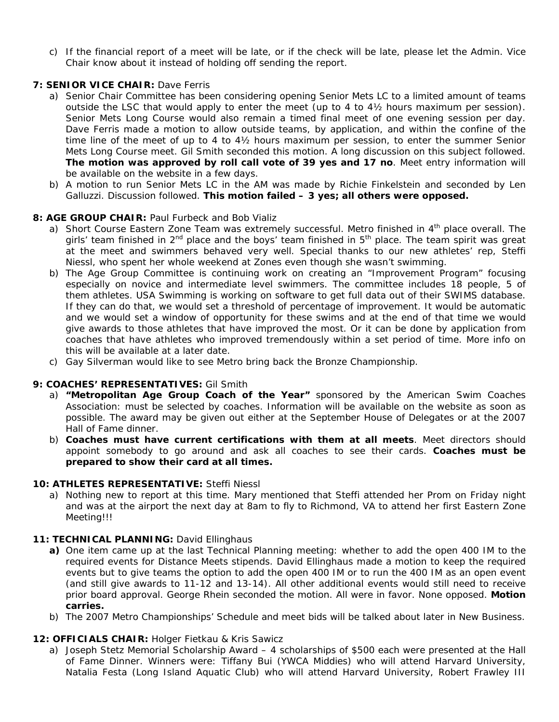c) If the financial report of a meet will be late, or if the check will be late, please let the Admin. Vice Chair know about it instead of holding off sending the report.

# **7: SENIOR VICE CHAIR: Dave Ferris**

- a) Senior Chair Committee has been considering opening Senior Mets LC to a limited amount of teams outside the LSC that would apply to enter the meet (up to 4 to 4½ hours maximum per session). Senior Mets Long Course would also remain a timed final meet of one evening session per day. Dave Ferris made a motion to allow outside teams, by application, and within the confine of the time line of the meet of up to 4 to 4½ hours maximum per session, to enter the summer Senior Mets Long Course meet. Gil Smith seconded this motion. A long discussion on this subject followed. **The motion was approved by roll call vote of 39 yes and 17 no**. Meet entry information will be available on the website in a few days.
- b) A motion to run Senior Mets LC in the AM was made by Richie Finkelstein and seconded by Len Galluzzi. Discussion followed. **This motion failed – 3 yes; all others were opposed.**

# **8: AGE GROUP CHAIR:** Paul Furbeck and Bob Vializ

- a) Short Course Eastern Zone Team was extremely successful. Metro finished in 4<sup>th</sup> place overall. The girls' team finished in  $2^{nd}$  place and the boys' team finished in  $5<sup>th</sup>$  place. The team spirit was great at the meet and swimmers behaved very well. Special thanks to our new athletes' rep, Steffi Niessl, who spent her whole weekend at Zones even though she wasn't swimming.
- b) The Age Group Committee is continuing work on creating an "Improvement Program" focusing especially on novice and intermediate level swimmers. The committee includes 18 people, 5 of them athletes. USA Swimming is working on software to get full data out of their SWIMS database. If they can do that, we would set a threshold of percentage of improvement. It would be automatic and we would set a window of opportunity for these swims and at the end of that time we would give awards to those athletes that have improved the most. Or it can be done by application from coaches that have athletes who improved tremendously within a set period of time. More info on this will be available at a later date.
- c) Gay Silverman would like to see Metro bring back the Bronze Championship.

# **9: COACHES' REPRESENTATIVES:** Gil Smith

- a) **"Metropolitan Age Group Coach of the Year"** sponsored by the American Swim Coaches Association: must be selected by coaches. Information will be available on the website as soon as possible. The award may be given out either at the September House of Delegates or at the 2007 Hall of Fame dinner.
- b) **Coaches must have current certifications with them at all meets**. Meet directors should appoint somebody to go around and ask all coaches to see their cards. **Coaches must be prepared to show their card at all times.**

#### **10: ATHLETES REPRESENTATIVE:** Steffi Niessl

a) Nothing new to report at this time. Mary mentioned that Steffi attended her Prom on Friday night and was at the airport the next day at 8am to fly to Richmond, VA to attend her first Eastern Zone Meeting!!!

#### **11: TECHNICAL PLANNING:** David Ellinghaus

- **a)** One item came up at the last Technical Planning meeting: whether to add the open 400 IM to the required events for Distance Meets stipends. David Ellinghaus made a motion to keep the required events but to give teams the option to add the open 400 IM or to run the 400 IM as an open event (and still give awards to 11-12 and 13-14). All other additional events would still need to receive prior board approval. George Rhein seconded the motion. All were in favor. None opposed. **Motion carries.**
- b) The 2007 Metro Championships' Schedule and meet bids will be talked about later in New Business.

#### **12: OFFICIALS CHAIR:** Holger Fietkau & Kris Sawicz

a) Joseph Stetz Memorial Scholarship Award – 4 scholarships of \$500 each were presented at the Hall of Fame Dinner. Winners were: Tiffany Bui (YWCA Middies) who will attend Harvard University, Natalia Festa (Long Island Aquatic Club) who will attend Harvard University, Robert Frawley III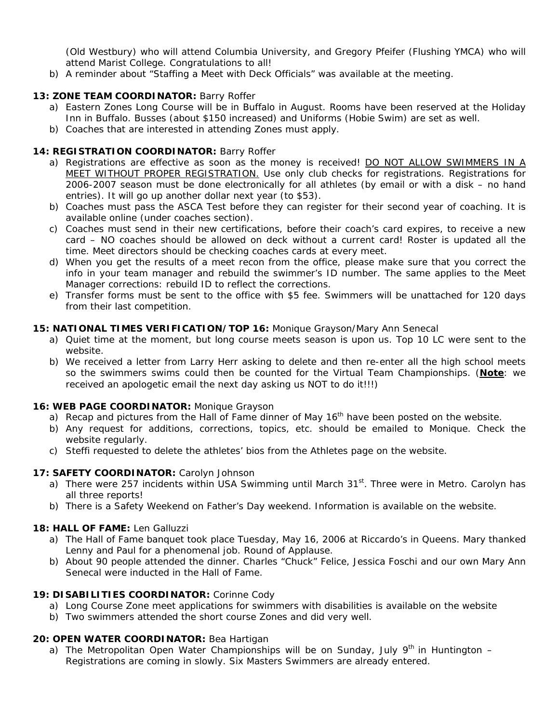(Old Westbury) who will attend Columbia University, and Gregory Pfeifer (Flushing YMCA) who will attend Marist College. Congratulations to all!

b) A reminder about "Staffing a Meet with Deck Officials" was available at the meeting.

# **13: ZONE TEAM COORDINATOR:** Barry Roffer

- a) Eastern Zones Long Course will be in Buffalo in August. Rooms have been reserved at the Holiday Inn in Buffalo. Busses (about \$150 increased) and Uniforms (Hobie Swim) are set as well.
- b) Coaches that are interested in attending Zones must apply.

# **14: REGISTRATION COORDINATOR:** Barry Roffer

- a) Registrations are effective as soon as the money is received! DO NOT ALLOW SWIMMERS IN A MEET WITHOUT PROPER REGISTRATION. Use only club checks for registrations. Registrations for 2006-2007 season must be done electronically for all athletes (by email or with a disk – no hand entries). It will go up another dollar next year (to \$53).
- b) Coaches must pass the ASCA Test before they can register for their second year of coaching. It is available online (under coaches section).
- c) Coaches must send in their new certifications, before their coach's card expires, to receive a new card – NO coaches should be allowed on deck without a current card! Roster is updated all the time. Meet directors should be checking coaches cards at every meet.
- d) When you get the results of a meet recon from the office, please make sure that you correct the info in your team manager and rebuild the swimmer's ID number. The same applies to the Meet Manager corrections: rebuild ID to reflect the corrections.
- e) Transfer forms must be sent to the office with \$5 fee. Swimmers will be unattached for 120 days from their last competition.

# **15: NATIONAL TIMES VERIFICATION/TOP 16:** Monique Grayson/Mary Ann Senecal

- a) Quiet time at the moment, but long course meets season is upon us. Top 10 LC were sent to the website.
- b) We received a letter from Larry Herr asking to delete and then re-enter all the high school meets so the swimmers swims could then be counted for the Virtual Team Championships. (**Note**: we received an apologetic email the next day asking us NOT to do it!!!)

#### **16: WEB PAGE COORDINATOR:** Monique Grayson

- a) Recap and pictures from the Hall of Fame dinner of May  $16<sup>th</sup>$  have been posted on the website.
- b) Any request for additions, corrections, topics, etc. should be emailed to Monique. Check the website regularly.
- c) Steffi requested to delete the athletes' bios from the Athletes page on the website.

#### **17: SAFETY COORDINATOR:** Carolyn Johnson

- a) There were 257 incidents within USA Swimming until March  $31<sup>st</sup>$ . Three were in Metro. Carolyn has all three reports!
- b) There is a Safety Weekend on Father's Day weekend. Information is available on the website.

# **18: HALL OF FAME:** Len Galluzzi

- a) The Hall of Fame banquet took place Tuesday, May 16, 2006 at Riccardo's in Queens. Mary thanked Lenny and Paul for a phenomenal job. Round of Applause.
- b) About 90 people attended the dinner. Charles "Chuck" Felice, Jessica Foschi and our own Mary Ann Senecal were inducted in the Hall of Fame.

#### **19: DISABILITIES COORDINATOR:** Corinne Cody

- a) Long Course Zone meet applications for swimmers with disabilities is available on the website
- b) Two swimmers attended the short course Zones and did very well.

#### **20: OPEN WATER COORDINATOR:** Bea Hartigan

a) The Metropolitan Open Water Championships will be on Sunday, July  $9<sup>th</sup>$  in Huntington – Registrations are coming in slowly. Six Masters Swimmers are already entered.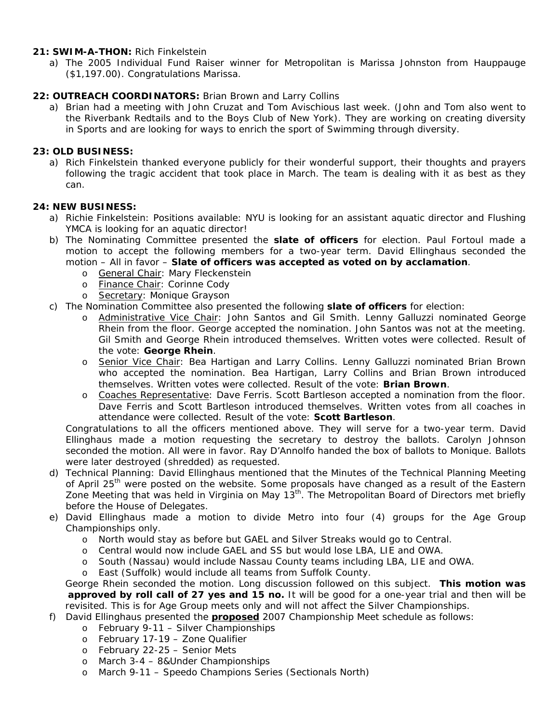#### **21: SWIM-A-THON:** Rich Finkelstein

a) The 2005 Individual Fund Raiser winner for Metropolitan is Marissa Johnston from Hauppauge (\$1,197.00). Congratulations Marissa.

## **22: OUTREACH COORDINATORS:** Brian Brown and Larry Collins

a) Brian had a meeting with John Cruzat and Tom Avischious last week. (John and Tom also went to the Riverbank Redtails and to the Boys Club of New York). They are working on creating diversity in Sports and are looking for ways to enrich the sport of Swimming through diversity.

#### **23: OLD BUSINESS:**

a) Rich Finkelstein thanked everyone publicly for their wonderful support, their thoughts and prayers following the tragic accident that took place in March. The team is dealing with it as best as they can.

#### **24: NEW BUSINESS:**

- a) Richie Finkelstein: Positions available: NYU is looking for an assistant aquatic director and Flushing YMCA is looking for an aquatic director!
- b) The Nominating Committee presented the **slate of officers** for election. Paul Fortoul made a motion to accept the following members for a two-year term. David Ellinghaus seconded the motion – All in favor – **Slate of officers was accepted as voted on by acclamation**.
	- o General Chair: Mary Fleckenstein
	- o Finance Chair: Corinne Cody
	- o Secretary: Monique Grayson
- c) The Nomination Committee also presented the following **slate of officers** for election:
	- o Administrative Vice Chair: John Santos and Gil Smith. Lenny Galluzzi nominated George Rhein from the floor. George accepted the nomination. John Santos was not at the meeting. Gil Smith and George Rhein introduced themselves. Written votes were collected. Result of the vote: **George Rhein**.
	- o Senior Vice Chair: Bea Hartigan and Larry Collins. Lenny Galluzzi nominated Brian Brown who accepted the nomination. Bea Hartigan, Larry Collins and Brian Brown introduced themselves. Written votes were collected. Result of the vote: **Brian Brown**.
	- o Coaches Representative: Dave Ferris. Scott Bartleson accepted a nomination from the floor. Dave Ferris and Scott Bartleson introduced themselves. Written votes from all coaches in attendance were collected. Result of the vote: **Scott Bartleson**.

Congratulations to all the officers mentioned above. They will serve for a two-year term. David Ellinghaus made a motion requesting the secretary to destroy the ballots. Carolyn Johnson seconded the motion. All were in favor. Ray D'Annolfo handed the box of ballots to Monique. Ballots were later destroyed (shredded) as requested.

- d) Technical Planning: David Ellinghaus mentioned that the Minutes of the Technical Planning Meeting of April 25<sup>th</sup> were posted on the website. Some proposals have changed as a result of the Eastern Zone Meeting that was held in Virginia on May 13<sup>th</sup>. The Metropolitan Board of Directors met briefly before the House of Delegates.
- e) David Ellinghaus made a motion to divide Metro into four (4) groups for the Age Group Championships only.
	- o North would stay as before but GAEL and Silver Streaks would go to Central.
	- o Central would now include GAEL and SS but would lose LBA, LIE and OWA.
	- o South (Nassau) would include Nassau County teams including LBA, LIE and OWA.
	- o East (Suffolk) would include all teams from Suffolk County.

 George Rhein seconded the motion. Long discussion followed on this subject. **This motion was approved by roll call of 27 yes and 15 no.** It will be good for a one-year trial and then will be revisited. This is for Age Group meets only and will not affect the Silver Championships.

- f) David Ellinghaus presented the **proposed** 2007 Championship Meet schedule as follows:
	- o February 9-11 Silver Championships
	- o February 17-19 Zone Qualifier
	- o February 22-25 Senior Mets
	- o March 3-4 8&Under Championships
	- o March 9-11 Speedo Champions Series (Sectionals North)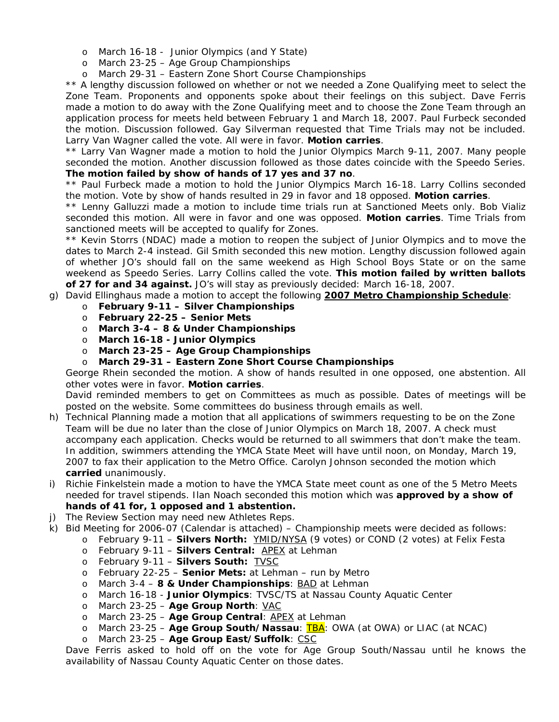- o March 16-18 Junior Olympics (and Y State)
- o March 23-25 Age Group Championships
- o March 29-31 Eastern Zone Short Course Championships

\*\* A lengthy discussion followed on whether or not we needed a Zone Qualifying meet to select the Zone Team. Proponents and opponents spoke about their feelings on this subject. Dave Ferris made a motion to do away with the Zone Qualifying meet and to choose the Zone Team through an application process for meets held between February 1 and March 18, 2007. Paul Furbeck seconded the motion. Discussion followed. Gay Silverman requested that Time Trials may not be included. Larry Van Wagner called the vote. All were in favor. **Motion carries**.

\*\* Larry Van Wagner made a motion to hold the Junior Olympics March 9-11, 2007. Many people seconded the motion. Another discussion followed as those dates coincide with the Speedo Series. **The motion failed by show of hands of 17 yes and 37 no**.

\*\* Paul Furbeck made a motion to hold the Junior Olympics March 16-18. Larry Collins seconded the motion. Vote by show of hands resulted in 29 in favor and 18 opposed. **Motion carries**.

\*\* Lenny Galluzzi made a motion to include time trials run at Sanctioned Meets only. Bob Vializ seconded this motion. All were in favor and one was opposed. **Motion carries**. Time Trials from sanctioned meets will be accepted to qualify for Zones.

\*\* Kevin Storrs (NDAC) made a motion to reopen the subject of Junior Olympics and to move the dates to March 2-4 instead. Gil Smith seconded this new motion. Lengthy discussion followed again of whether JO's should fall on the same weekend as High School Boys State or on the same weekend as Speedo Series. Larry Collins called the vote. **This motion failed by written ballots of 27 for and 34 against.** JO's will stay as previously decided: March 16-18, 2007.

- g) David Ellinghaus made a motion to accept the following **2007 Metro Championship Schedule**:
	- o **February 9-11 Silver Championships**
	- o **February 22-25 Senior Mets**
	- o **March 3-4 8 & Under Championships**
	- o **March 16-18 Junior Olympics**
	- o **March 23-25 Age Group Championships**
	- o **March 29-31 Eastern Zone Short Course Championships**

George Rhein seconded the motion. A show of hands resulted in one opposed, one abstention. All other votes were in favor. **Motion carries**.

David reminded members to get on Committees as much as possible. Dates of meetings will be posted on the website. Some committees do business through emails as well.

- h) Technical Planning made a motion that all applications of swimmers requesting to be on the Zone Team will be due no later than the close of Junior Olympics on March 18, 2007. A check must accompany each application. Checks would be returned to all swimmers that don't make the team. In addition, swimmers attending the YMCA State Meet will have until noon, on Monday, March 19, 2007 to fax their application to the Metro Office. Carolyn Johnson seconded the motion which **carried** unanimously.
- i) Richie Finkelstein made a motion to have the YMCA State meet count as one of the 5 Metro Meets needed for travel stipends. Ilan Noach seconded this motion which was **approved by a show of hands of 41 for, 1 opposed and 1 abstention.**
- j) The Review Section may need new Athletes Reps.
- k) Bid Meeting for 2006-07 (Calendar is attached) Championship meets were decided as follows:
	- o February 9-11 **Silvers North:** YMID/NYSA (9 votes) or COND (2 votes) at Felix Festa
	- o February 9-11 **Silvers Central:** APEX at Lehman
	- o February 9-11 **Silvers South:** TVSC
	- o February 22-25 **Senior Mets:** at Lehman run by Metro
	- o March 3-4 **8 & Under Championships**: BAD at Lehman
	- o March 16-18 **Junior Olympics**: TVSC/TS at Nassau County Aquatic Center
	- o March 23-25 **Age Group North**: VAC
	- o March 23-25 **Age Group Central**: APEX at Lehman
	- o March 23-25 **Age Group South/Nassau**: TBA: OWA (at OWA) or LIAC (at NCAC)
	- o March 23-25 **Age Group East/Suffolk**: CSC

Dave Ferris asked to hold off on the vote for Age Group South/Nassau until he knows the availability of Nassau County Aquatic Center on those dates.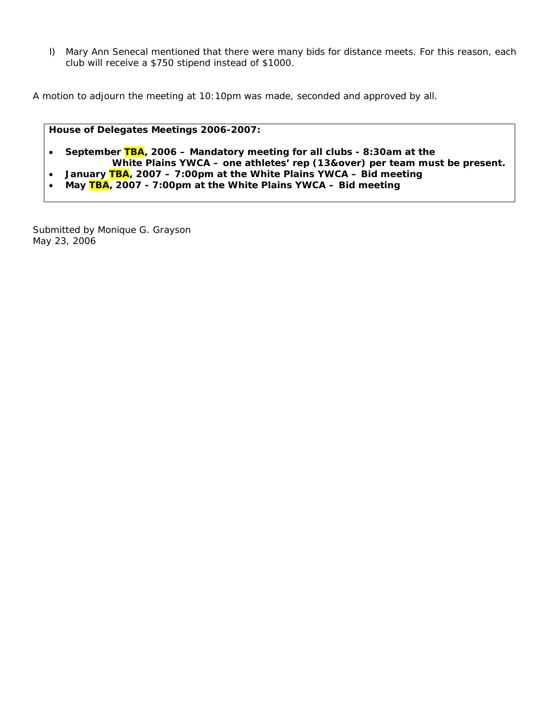l) Mary Ann Senecal mentioned that there were many bids for distance meets. For this reason, each club will receive a \$750 stipend instead of \$1000.

A motion to adjourn the meeting at 10:10pm was made, seconded and approved by all.

#### **House of Delegates Meetings 2006-2007:**

- **September TBA, 2006 Mandatory meeting for all clubs 8:30am at the White Plains YWCA – one athletes' rep (13&over) per team must be present.**
- **January TBA, 2007 7:00pm at the White Plains YWCA Bid meeting**
- **May TBA, 2007 7:00pm at the White Plains YWCA Bid meeting**

Submitted by Monique G. Grayson May 23, 2006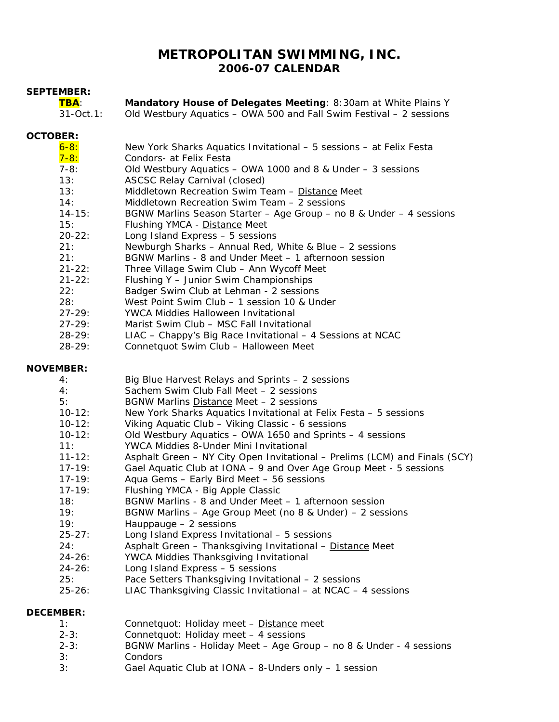# **METROPOLITAN SWIMMING, INC. 2006-07 CALENDAR**

#### **SEPTEMBER:**

| <b>TBA:</b> | Mandatory House of Delegates Meeting: 8:30am at White Plains Y      |
|-------------|---------------------------------------------------------------------|
| 31-Oct.1:   | Old Westbury Aquatics - OWA 500 and Fall Swim Festival - 2 sessions |

## **OCTOBER:**

| $6 - 8:$   | New York Sharks Aquatics Invitational – 5 sessions – at Felix Festa |
|------------|---------------------------------------------------------------------|
| $7 - 8:$   | Condors- at Felix Festa                                             |
| $7 - 8:$   | Old Westbury Aquatics - OWA 1000 and 8 & Under - 3 sessions         |
| 13:        | <b>ASCSC Relay Carnival (closed)</b>                                |
| 13:        | Middletown Recreation Swim Team - Distance Meet                     |
| 14:        | Middletown Recreation Swim Team - 2 sessions                        |
| $14 - 15:$ | BGNW Marlins Season Starter - Age Group - no 8 & Under - 4 sessions |
| 15:        | Flushing YMCA - Distance Meet                                       |
| $20 - 22:$ | Long Island Express - 5 sessions                                    |
| 21:        | Newburgh Sharks - Annual Red, White & Blue - 2 sessions             |
| 21:        | BGNW Marlins - 8 and Under Meet - 1 afternoon session               |
| $21 - 22:$ | Three Village Swim Club - Ann Wycoff Meet                           |
| $21 - 22:$ | Flushing Y - Junior Swim Championships                              |
| 22:        | Badger Swim Club at Lehman - 2 sessions                             |
| 28:        | West Point Swim Club – 1 session 10 & Under                         |
| $27 - 29:$ | YWCA Middies Halloween Invitational                                 |
| $27 - 29:$ | Marist Swim Club - MSC Fall Invitational                            |
| $28 - 29:$ | $LIAC - Chappy's Big Race Invitational - 4 Sessions at NCAC$        |
| ററാറെ.     | Connetaust Cuim Club Hollowson Most                                 |

28-29: Connetquot Swim Club – Halloween Meet

# **NOVEMBER:**

| 4:          | Big Blue Harvest Relays and Sprints - 2 sessions                           |
|-------------|----------------------------------------------------------------------------|
| 4:          | Sachem Swim Club Fall Meet – 2 sessions                                    |
| 5:          | BGNW Marlins Distance Meet - 2 sessions                                    |
| $10 - 12$ : | New York Sharks Aquatics Invitational at Felix Festa - 5 sessions          |
| $10 - 12$ : | Viking Aquatic Club - Viking Classic - 6 sessions                          |
| $10 - 12$ : | Old Westbury Aquatics – OWA 1650 and Sprints – 4 sessions                  |
| 11:         | YWCA Middies 8-Under Mini Invitational                                     |
| $11 - 12:$  | Asphalt Green – NY City Open Invitational – Prelims (LCM) and Finals (SCY) |
| $17 - 19:$  | Gael Aquatic Club at IONA - 9 and Over Age Group Meet - 5 sessions         |
| $17 - 19:$  | Aqua Gems - Early Bird Meet - 56 sessions                                  |
| $17 - 19:$  | Flushing YMCA - Big Apple Classic                                          |
| 18:         | BGNW Marlins - 8 and Under Meet - 1 afternoon session                      |
| 19:         | BGNW Marlins – Age Group Meet (no 8 & Under) – 2 sessions                  |
| 19:         | Hauppauge $-2$ sessions                                                    |
| $25 - 27:$  | Long Island Express Invitational - 5 sessions                              |
| 24:         | Asphalt Green - Thanksgiving Invitational - Distance Meet                  |
| $24 - 26:$  | YWCA Middies Thanksgiving Invitational                                     |
| $24 - 26:$  | Long Island Express - 5 sessions                                           |
| 25:         | Pace Setters Thanksgiving Invitational - 2 sessions                        |
|             |                                                                            |

25-26: LIAC Thanksgiving Classic Invitational – at NCAC – 4 sessions

# **DECEMBER:**

| 1:       | Connetquot: Holiday meet - Distance meet                            |
|----------|---------------------------------------------------------------------|
| $2 - 3:$ | Connetquot: Holiday meet - 4 sessions                               |
| $2 - 3:$ | BGNW Marlins - Holiday Meet - Age Group - no 8 & Under - 4 sessions |
| 3:       | <b>Condors</b>                                                      |
| 3:       | Gael Aquatic Club at IONA - 8-Unders only - 1 session               |